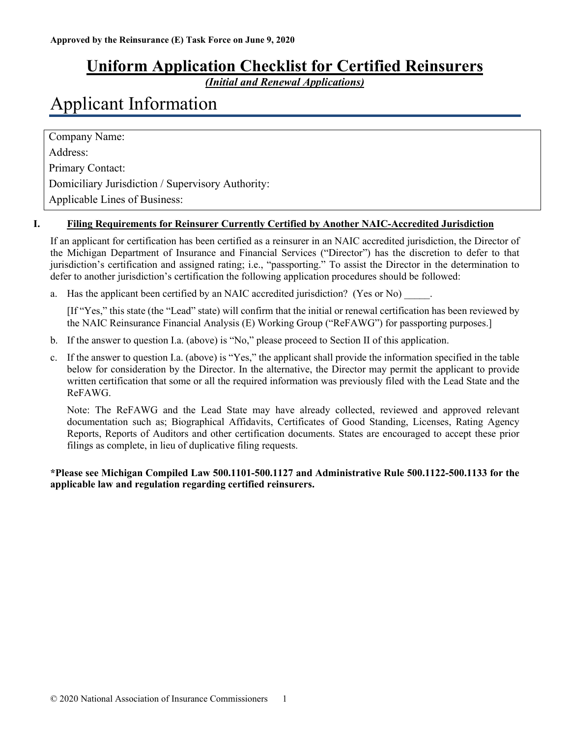## **Uniform Application Checklist for Certified Reinsurers**

*(Initial and Renewal Applications)*

# Applicant Information

Company Name: Address: Primary Contact: Domiciliary Jurisdiction / Supervisory Authority: Applicable Lines of Business:

#### **I. Filing Requirements for Reinsurer Currently Certified by Another NAIC-Accredited Jurisdiction**

If an applicant for certification has been certified as a reinsurer in an NAIC accredited jurisdiction, the Director of the Michigan Department of Insurance and Financial Services ("Director") has the discretion to defer to that jurisdiction's certification and assigned rating; i.e., "passporting." To assist the Director in the determination to defer to another jurisdiction's certification the following application procedures should be followed:

a. Has the applicant been certified by an NAIC accredited jurisdiction? (Yes or No)

[If "Yes," this state (the "Lead" state) will confirm that the initial or renewal certification has been reviewed by the NAIC Reinsurance Financial Analysis (E) Working Group ("ReFAWG") for passporting purposes.]

- b. If the answer to question I.a. (above) is "No," please proceed to Section II of this application.
- c. If the answer to question I.a. (above) is "Yes," the applicant shall provide the information specified in the table below for consideration by the Director. In the alternative, the Director may permit the applicant to provide written certification that some or all the required information was previously filed with the Lead State and the ReFAWG.

Note: The ReFAWG and the Lead State may have already collected, reviewed and approved relevant documentation such as; Biographical Affidavits, Certificates of Good Standing, Licenses, Rating Agency Reports, Reports of Auditors and other certification documents. States are encouraged to accept these prior filings as complete, in lieu of duplicative filing requests.

**\*Please see Michigan Compiled Law 500.1101-500.1127 and Administrative Rule 500.1122-500.1133 for the applicable law and regulation regarding certified reinsurers.**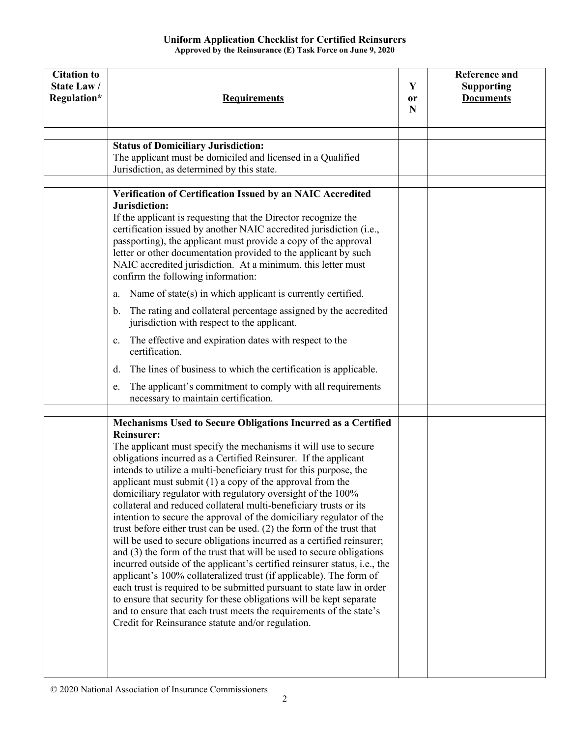| <b>Citation to</b><br>State Law/<br>Regulation* | <b>Requirements</b>                                                                                                                                                                                                                                                                                                                                                                                                                                                                                                                                                                                                                                                                                                                                                                                                                                                                                                                                                                                                                                                                                                                                                                                                                     | Y<br>or<br>N | <b>Reference and</b><br><b>Supporting</b><br><b>Documents</b> |
|-------------------------------------------------|-----------------------------------------------------------------------------------------------------------------------------------------------------------------------------------------------------------------------------------------------------------------------------------------------------------------------------------------------------------------------------------------------------------------------------------------------------------------------------------------------------------------------------------------------------------------------------------------------------------------------------------------------------------------------------------------------------------------------------------------------------------------------------------------------------------------------------------------------------------------------------------------------------------------------------------------------------------------------------------------------------------------------------------------------------------------------------------------------------------------------------------------------------------------------------------------------------------------------------------------|--------------|---------------------------------------------------------------|
|                                                 | <b>Status of Domiciliary Jurisdiction:</b><br>The applicant must be domiciled and licensed in a Qualified<br>Jurisdiction, as determined by this state.                                                                                                                                                                                                                                                                                                                                                                                                                                                                                                                                                                                                                                                                                                                                                                                                                                                                                                                                                                                                                                                                                 |              |                                                               |
|                                                 | Verification of Certification Issued by an NAIC Accredited<br>Jurisdiction:<br>If the applicant is requesting that the Director recognize the<br>certification issued by another NAIC accredited jurisdiction (i.e.,<br>passporting), the applicant must provide a copy of the approval<br>letter or other documentation provided to the applicant by such<br>NAIC accredited jurisdiction. At a minimum, this letter must<br>confirm the following information:                                                                                                                                                                                                                                                                                                                                                                                                                                                                                                                                                                                                                                                                                                                                                                        |              |                                                               |
|                                                 | Name of state(s) in which applicant is currently certified.<br>a.<br>The rating and collateral percentage assigned by the accredited<br>$\mathbf{b}$ .<br>jurisdiction with respect to the applicant.                                                                                                                                                                                                                                                                                                                                                                                                                                                                                                                                                                                                                                                                                                                                                                                                                                                                                                                                                                                                                                   |              |                                                               |
|                                                 | The effective and expiration dates with respect to the<br>$\mathbf{c}$ .<br>certification.                                                                                                                                                                                                                                                                                                                                                                                                                                                                                                                                                                                                                                                                                                                                                                                                                                                                                                                                                                                                                                                                                                                                              |              |                                                               |
|                                                 | The lines of business to which the certification is applicable.<br>d.<br>The applicant's commitment to comply with all requirements<br>e.<br>necessary to maintain certification.                                                                                                                                                                                                                                                                                                                                                                                                                                                                                                                                                                                                                                                                                                                                                                                                                                                                                                                                                                                                                                                       |              |                                                               |
|                                                 | Mechanisms Used to Secure Obligations Incurred as a Certified<br><b>Reinsurer:</b><br>The applicant must specify the mechanisms it will use to secure<br>obligations incurred as a Certified Reinsurer. If the applicant<br>intends to utilize a multi-beneficiary trust for this purpose, the<br>applicant must submit $(1)$ a copy of the approval from the<br>domiciliary regulator with regulatory oversight of the 100%<br>collateral and reduced collateral multi-beneficiary trusts or its<br>intention to secure the approval of the domiciliary regulator of the<br>trust before either trust can be used. $(2)$ the form of the trust that<br>will be used to secure obligations incurred as a certified reinsurer;<br>and $(3)$ the form of the trust that will be used to secure obligations<br>incurred outside of the applicant's certified reinsurer status, i.e., the<br>applicant's 100% collateralized trust (if applicable). The form of<br>each trust is required to be submitted pursuant to state law in order<br>to ensure that security for these obligations will be kept separate<br>and to ensure that each trust meets the requirements of the state's<br>Credit for Reinsurance statute and/or regulation. |              |                                                               |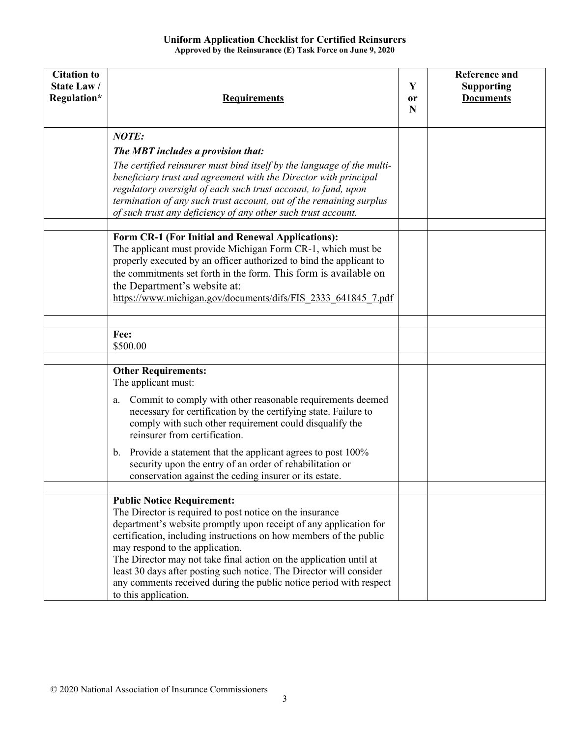| <b>Citation to</b><br>State Law/<br>Regulation* | <b>Requirements</b>                                                                                                                                                                                                                                                                                                                                                                                                                                                                                                    | Y<br>or<br>N | <b>Reference and</b><br><b>Supporting</b><br><b>Documents</b> |
|-------------------------------------------------|------------------------------------------------------------------------------------------------------------------------------------------------------------------------------------------------------------------------------------------------------------------------------------------------------------------------------------------------------------------------------------------------------------------------------------------------------------------------------------------------------------------------|--------------|---------------------------------------------------------------|
|                                                 | <b>NOTE:</b>                                                                                                                                                                                                                                                                                                                                                                                                                                                                                                           |              |                                                               |
|                                                 | The MBT includes a provision that:                                                                                                                                                                                                                                                                                                                                                                                                                                                                                     |              |                                                               |
|                                                 | The certified reinsurer must bind itself by the language of the multi-<br>beneficiary trust and agreement with the Director with principal<br>regulatory oversight of each such trust account, to fund, upon<br>termination of any such trust account, out of the remaining surplus<br>of such trust any deficiency of any other such trust account.                                                                                                                                                                   |              |                                                               |
|                                                 | Form CR-1 (For Initial and Renewal Applications):                                                                                                                                                                                                                                                                                                                                                                                                                                                                      |              |                                                               |
|                                                 | The applicant must provide Michigan Form CR-1, which must be<br>properly executed by an officer authorized to bind the applicant to<br>the commitments set forth in the form. This form is available on<br>the Department's website at:<br>https://www.michigan.gov/documents/difs/FIS 2333 641845 7.pdf                                                                                                                                                                                                               |              |                                                               |
|                                                 |                                                                                                                                                                                                                                                                                                                                                                                                                                                                                                                        |              |                                                               |
|                                                 | Fee:<br>\$500.00                                                                                                                                                                                                                                                                                                                                                                                                                                                                                                       |              |                                                               |
|                                                 |                                                                                                                                                                                                                                                                                                                                                                                                                                                                                                                        |              |                                                               |
|                                                 | <b>Other Requirements:</b><br>The applicant must:                                                                                                                                                                                                                                                                                                                                                                                                                                                                      |              |                                                               |
|                                                 | Commit to comply with other reasonable requirements deemed<br>a.<br>necessary for certification by the certifying state. Failure to<br>comply with such other requirement could disqualify the<br>reinsurer from certification.                                                                                                                                                                                                                                                                                        |              |                                                               |
|                                                 | b. Provide a statement that the applicant agrees to post 100%<br>security upon the entry of an order of rehabilitation or<br>conservation against the ceding insurer or its estate.                                                                                                                                                                                                                                                                                                                                    |              |                                                               |
|                                                 |                                                                                                                                                                                                                                                                                                                                                                                                                                                                                                                        |              |                                                               |
|                                                 | <b>Public Notice Requirement:</b><br>The Director is required to post notice on the insurance<br>department's website promptly upon receipt of any application for<br>certification, including instructions on how members of the public<br>may respond to the application.<br>The Director may not take final action on the application until at<br>least 30 days after posting such notice. The Director will consider<br>any comments received during the public notice period with respect<br>to this application. |              |                                                               |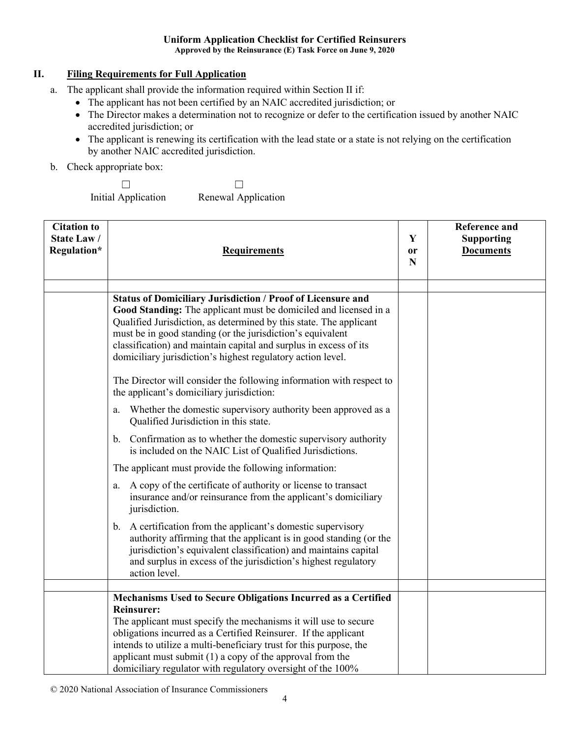#### **Uniform Application Checklist for Certified Reinsurers Approved by the Reinsurance (E) Task Force on June 9, 2020**

### **II. Filing Requirements for Full Application**

- a. The applicant shall provide the information required within Section II if:
	- The applicant has not been certified by an NAIC accredited jurisdiction; or
	- The Director makes a determination not to recognize or defer to the certification issued by another NAIC accredited jurisdiction; or
	- The applicant is renewing its certification with the lead state or a state is not relying on the certification by another NAIC accredited jurisdiction.
- b. Check appropriate box:

☐ Initial Application  $\Box$ Renewal Application

| <b>Citation to</b><br>State Law/<br>Regulation* | <b>Requirements</b>                                                                                                                                                                                                                                                                                                                                                                                                                                                                                                                                                                                                                                                                                                                                                                                                                                                                                                                                                                                                                                                                                                                                                                                                                                                                               | Y<br><b>or</b><br>N | <b>Reference and</b><br><b>Supporting</b><br><b>Documents</b> |
|-------------------------------------------------|---------------------------------------------------------------------------------------------------------------------------------------------------------------------------------------------------------------------------------------------------------------------------------------------------------------------------------------------------------------------------------------------------------------------------------------------------------------------------------------------------------------------------------------------------------------------------------------------------------------------------------------------------------------------------------------------------------------------------------------------------------------------------------------------------------------------------------------------------------------------------------------------------------------------------------------------------------------------------------------------------------------------------------------------------------------------------------------------------------------------------------------------------------------------------------------------------------------------------------------------------------------------------------------------------|---------------------|---------------------------------------------------------------|
|                                                 | <b>Status of Domiciliary Jurisdiction / Proof of Licensure and</b><br>Good Standing: The applicant must be domiciled and licensed in a<br>Qualified Jurisdiction, as determined by this state. The applicant<br>must be in good standing (or the jurisdiction's equivalent<br>classification) and maintain capital and surplus in excess of its<br>domiciliary jurisdiction's highest regulatory action level.<br>The Director will consider the following information with respect to<br>the applicant's domiciliary jurisdiction:<br>Whether the domestic supervisory authority been approved as a<br>a.<br>Qualified Jurisdiction in this state.<br>b. Confirmation as to whether the domestic supervisory authority<br>is included on the NAIC List of Qualified Jurisdictions.<br>The applicant must provide the following information:<br>A copy of the certificate of authority or license to transact<br>a.<br>insurance and/or reinsurance from the applicant's domiciliary<br>jurisdiction.<br>b. A certification from the applicant's domestic supervisory<br>authority affirming that the applicant is in good standing (or the<br>jurisdiction's equivalent classification) and maintains capital<br>and surplus in excess of the jurisdiction's highest regulatory<br>action level. |                     |                                                               |
|                                                 |                                                                                                                                                                                                                                                                                                                                                                                                                                                                                                                                                                                                                                                                                                                                                                                                                                                                                                                                                                                                                                                                                                                                                                                                                                                                                                   |                     |                                                               |
|                                                 | Mechanisms Used to Secure Obligations Incurred as a Certified<br><b>Reinsurer:</b><br>The applicant must specify the mechanisms it will use to secure<br>obligations incurred as a Certified Reinsurer. If the applicant<br>intends to utilize a multi-beneficiary trust for this purpose, the<br>applicant must submit $(1)$ a copy of the approval from the<br>domiciliary regulator with regulatory oversight of the 100%                                                                                                                                                                                                                                                                                                                                                                                                                                                                                                                                                                                                                                                                                                                                                                                                                                                                      |                     |                                                               |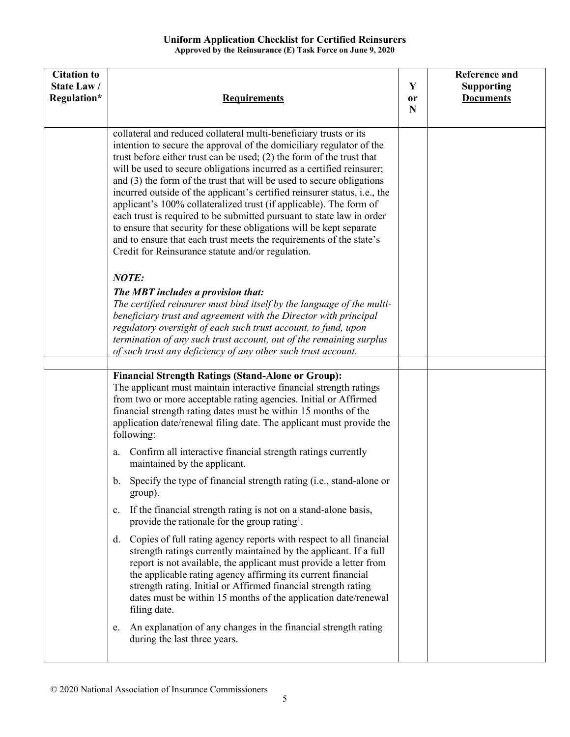| <b>Citation to</b><br>State Law/<br>Regulation* | <b>Requirements</b>                                                                                                                                                                                                                                                                                                                                                                                                                                                                                                                                                                                                                                                                                                                                                                                   | Y<br>or<br>N | <b>Reference and</b><br><b>Supporting</b><br><b>Documents</b> |
|-------------------------------------------------|-------------------------------------------------------------------------------------------------------------------------------------------------------------------------------------------------------------------------------------------------------------------------------------------------------------------------------------------------------------------------------------------------------------------------------------------------------------------------------------------------------------------------------------------------------------------------------------------------------------------------------------------------------------------------------------------------------------------------------------------------------------------------------------------------------|--------------|---------------------------------------------------------------|
|                                                 | collateral and reduced collateral multi-beneficiary trusts or its<br>intention to secure the approval of the domiciliary regulator of the<br>trust before either trust can be used; $(2)$ the form of the trust that<br>will be used to secure obligations incurred as a certified reinsurer;<br>and (3) the form of the trust that will be used to secure obligations<br>incurred outside of the applicant's certified reinsurer status, i.e., the<br>applicant's 100% collateralized trust (if applicable). The form of<br>each trust is required to be submitted pursuant to state law in order<br>to ensure that security for these obligations will be kept separate<br>and to ensure that each trust meets the requirements of the state's<br>Credit for Reinsurance statute and/or regulation. |              |                                                               |
|                                                 | NOTE:<br>The MBT includes a provision that:<br>The certified reinsurer must bind itself by the language of the multi-<br>beneficiary trust and agreement with the Director with principal<br>regulatory oversight of each such trust account, to fund, upon<br>termination of any such trust account, out of the remaining surplus<br>of such trust any deficiency of any other such trust account.                                                                                                                                                                                                                                                                                                                                                                                                   |              |                                                               |
|                                                 |                                                                                                                                                                                                                                                                                                                                                                                                                                                                                                                                                                                                                                                                                                                                                                                                       |              |                                                               |
|                                                 | <b>Financial Strength Ratings (Stand-Alone or Group):</b><br>The applicant must maintain interactive financial strength ratings<br>from two or more acceptable rating agencies. Initial or Affirmed<br>financial strength rating dates must be within 15 months of the<br>application date/renewal filing date. The applicant must provide the<br>following:<br>Confirm all interactive financial strength ratings currently<br>a.                                                                                                                                                                                                                                                                                                                                                                    |              |                                                               |
|                                                 | maintained by the applicant.<br>b. Specify the type of financial strength rating (i.e., stand-alone or                                                                                                                                                                                                                                                                                                                                                                                                                                                                                                                                                                                                                                                                                                |              |                                                               |
|                                                 | group).<br>If the financial strength rating is not on a stand-alone basis,<br>$c_{\cdot}$<br>provide the rationale for the group rating <sup>1</sup> .                                                                                                                                                                                                                                                                                                                                                                                                                                                                                                                                                                                                                                                |              |                                                               |
|                                                 | Copies of full rating agency reports with respect to all financial<br>d.<br>strength ratings currently maintained by the applicant. If a full<br>report is not available, the applicant must provide a letter from<br>the applicable rating agency affirming its current financial<br>strength rating. Initial or Affirmed financial strength rating<br>dates must be within 15 months of the application date/renewal<br>filing date.                                                                                                                                                                                                                                                                                                                                                                |              |                                                               |
|                                                 | An explanation of any changes in the financial strength rating<br>e.<br>during the last three years.                                                                                                                                                                                                                                                                                                                                                                                                                                                                                                                                                                                                                                                                                                  |              |                                                               |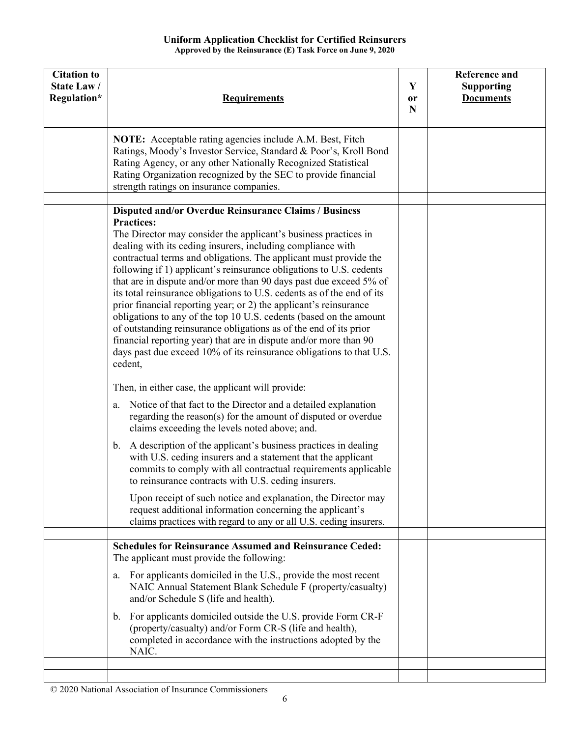| <b>Citation to</b><br><b>State Law/</b><br>Regulation* | <b>Requirements</b>                                                                                                                                                                                                                                                                                                                                                                                                                                                                                                                                                                                                                                                                                                                                                                                                                                                                                                                                                                                                                                                                                                                                                                                                                                                                                                                                                                                                                                                                                                                                                                                       | Y<br>or<br>$\mathbf N$ | <b>Reference and</b><br><b>Supporting</b><br><b>Documents</b> |
|--------------------------------------------------------|-----------------------------------------------------------------------------------------------------------------------------------------------------------------------------------------------------------------------------------------------------------------------------------------------------------------------------------------------------------------------------------------------------------------------------------------------------------------------------------------------------------------------------------------------------------------------------------------------------------------------------------------------------------------------------------------------------------------------------------------------------------------------------------------------------------------------------------------------------------------------------------------------------------------------------------------------------------------------------------------------------------------------------------------------------------------------------------------------------------------------------------------------------------------------------------------------------------------------------------------------------------------------------------------------------------------------------------------------------------------------------------------------------------------------------------------------------------------------------------------------------------------------------------------------------------------------------------------------------------|------------------------|---------------------------------------------------------------|
|                                                        | <b>NOTE:</b> Acceptable rating agencies include A.M. Best, Fitch<br>Ratings, Moody's Investor Service, Standard & Poor's, Kroll Bond<br>Rating Agency, or any other Nationally Recognized Statistical<br>Rating Organization recognized by the SEC to provide financial<br>strength ratings on insurance companies.                                                                                                                                                                                                                                                                                                                                                                                                                                                                                                                                                                                                                                                                                                                                                                                                                                                                                                                                                                                                                                                                                                                                                                                                                                                                                       |                        |                                                               |
|                                                        | <b>Disputed and/or Overdue Reinsurance Claims / Business</b><br><b>Practices:</b><br>The Director may consider the applicant's business practices in<br>dealing with its ceding insurers, including compliance with<br>contractual terms and obligations. The applicant must provide the<br>following if 1) applicant's reinsurance obligations to U.S. cedents<br>that are in dispute and/or more than 90 days past due exceed 5% of<br>its total reinsurance obligations to U.S. cedents as of the end of its<br>prior financial reporting year; or 2) the applicant's reinsurance<br>obligations to any of the top 10 U.S. cedents (based on the amount<br>of outstanding reinsurance obligations as of the end of its prior<br>financial reporting year) that are in dispute and/or more than 90<br>days past due exceed 10% of its reinsurance obligations to that U.S.<br>cedent,<br>Then, in either case, the applicant will provide:<br>Notice of that fact to the Director and a detailed explanation<br>a.<br>regarding the reason(s) for the amount of disputed or overdue<br>claims exceeding the levels noted above; and.<br>A description of the applicant's business practices in dealing<br>b.<br>with U.S. ceding insurers and a statement that the applicant<br>commits to comply with all contractual requirements applicable<br>to reinsurance contracts with U.S. ceding insurers.<br>Upon receipt of such notice and explanation, the Director may<br>request additional information concerning the applicant's<br>claims practices with regard to any or all U.S. ceding insurers. |                        |                                                               |
|                                                        | <b>Schedules for Reinsurance Assumed and Reinsurance Ceded:</b>                                                                                                                                                                                                                                                                                                                                                                                                                                                                                                                                                                                                                                                                                                                                                                                                                                                                                                                                                                                                                                                                                                                                                                                                                                                                                                                                                                                                                                                                                                                                           |                        |                                                               |
|                                                        | The applicant must provide the following:<br>For applicants domiciled in the U.S., provide the most recent<br>a.<br>NAIC Annual Statement Blank Schedule F (property/casualty)<br>and/or Schedule S (life and health).<br>For applicants domiciled outside the U.S. provide Form CR-F<br>$\mathbf{b}$ .<br>(property/casualty) and/or Form CR-S (life and health),<br>completed in accordance with the instructions adopted by the<br>NAIC.                                                                                                                                                                                                                                                                                                                                                                                                                                                                                                                                                                                                                                                                                                                                                                                                                                                                                                                                                                                                                                                                                                                                                               |                        |                                                               |
|                                                        |                                                                                                                                                                                                                                                                                                                                                                                                                                                                                                                                                                                                                                                                                                                                                                                                                                                                                                                                                                                                                                                                                                                                                                                                                                                                                                                                                                                                                                                                                                                                                                                                           |                        |                                                               |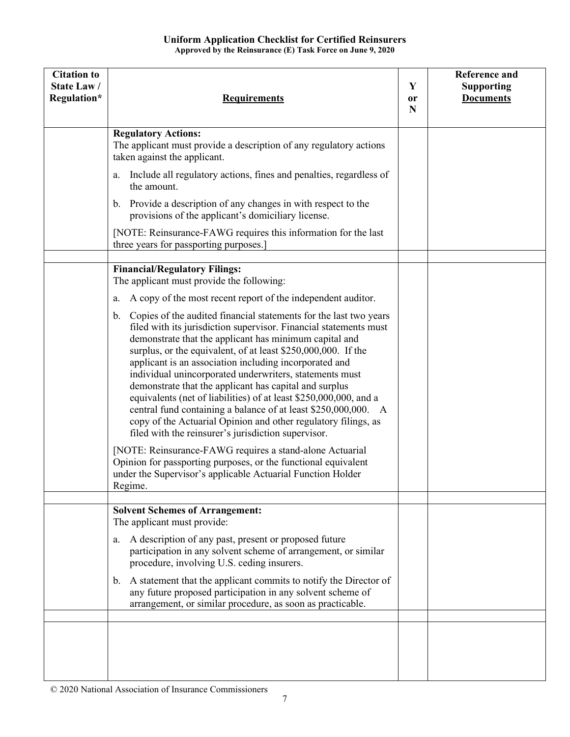| <b>Citation to</b><br><b>State Law/</b><br>Regulation* | <b>Requirements</b>                                                                                                                                                                                                                                                                                                                                                                                                                                                                                                                                                                                                                                                                                                                                                                                                                                              | Y<br>0r<br>N | <b>Reference and</b><br><b>Supporting</b><br><b>Documents</b> |
|--------------------------------------------------------|------------------------------------------------------------------------------------------------------------------------------------------------------------------------------------------------------------------------------------------------------------------------------------------------------------------------------------------------------------------------------------------------------------------------------------------------------------------------------------------------------------------------------------------------------------------------------------------------------------------------------------------------------------------------------------------------------------------------------------------------------------------------------------------------------------------------------------------------------------------|--------------|---------------------------------------------------------------|
|                                                        | <b>Regulatory Actions:</b><br>The applicant must provide a description of any regulatory actions<br>taken against the applicant.                                                                                                                                                                                                                                                                                                                                                                                                                                                                                                                                                                                                                                                                                                                                 |              |                                                               |
|                                                        | Include all regulatory actions, fines and penalties, regardless of<br>a.<br>the amount.                                                                                                                                                                                                                                                                                                                                                                                                                                                                                                                                                                                                                                                                                                                                                                          |              |                                                               |
|                                                        | b. Provide a description of any changes in with respect to the<br>provisions of the applicant's domiciliary license.                                                                                                                                                                                                                                                                                                                                                                                                                                                                                                                                                                                                                                                                                                                                             |              |                                                               |
|                                                        | [NOTE: Reinsurance-FAWG requires this information for the last<br>three years for passporting purposes.]                                                                                                                                                                                                                                                                                                                                                                                                                                                                                                                                                                                                                                                                                                                                                         |              |                                                               |
|                                                        |                                                                                                                                                                                                                                                                                                                                                                                                                                                                                                                                                                                                                                                                                                                                                                                                                                                                  |              |                                                               |
|                                                        | <b>Financial/Regulatory Filings:</b><br>The applicant must provide the following:                                                                                                                                                                                                                                                                                                                                                                                                                                                                                                                                                                                                                                                                                                                                                                                |              |                                                               |
|                                                        | A copy of the most recent report of the independent auditor.<br>a.                                                                                                                                                                                                                                                                                                                                                                                                                                                                                                                                                                                                                                                                                                                                                                                               |              |                                                               |
|                                                        | Copies of the audited financial statements for the last two years<br>$\mathbf{b}$ .<br>filed with its jurisdiction supervisor. Financial statements must<br>demonstrate that the applicant has minimum capital and<br>surplus, or the equivalent, of at least \$250,000,000. If the<br>applicant is an association including incorporated and<br>individual unincorporated underwriters, statements must<br>demonstrate that the applicant has capital and surplus<br>equivalents (net of liabilities) of at least \$250,000,000, and a<br>central fund containing a balance of at least \$250,000,000. A<br>copy of the Actuarial Opinion and other regulatory filings, as<br>filed with the reinsurer's jurisdiction supervisor.<br>[NOTE: Reinsurance-FAWG requires a stand-alone Actuarial<br>Opinion for passporting purposes, or the functional equivalent |              |                                                               |
|                                                        | under the Supervisor's applicable Actuarial Function Holder<br>Regime.                                                                                                                                                                                                                                                                                                                                                                                                                                                                                                                                                                                                                                                                                                                                                                                           |              |                                                               |
|                                                        | <b>Solvent Schemes of Arrangement:</b>                                                                                                                                                                                                                                                                                                                                                                                                                                                                                                                                                                                                                                                                                                                                                                                                                           |              |                                                               |
|                                                        | The applicant must provide:                                                                                                                                                                                                                                                                                                                                                                                                                                                                                                                                                                                                                                                                                                                                                                                                                                      |              |                                                               |
|                                                        | A description of any past, present or proposed future<br>a.<br>participation in any solvent scheme of arrangement, or similar<br>procedure, involving U.S. ceding insurers.                                                                                                                                                                                                                                                                                                                                                                                                                                                                                                                                                                                                                                                                                      |              |                                                               |
|                                                        | A statement that the applicant commits to notify the Director of<br>$\mathbf{b}$ .<br>any future proposed participation in any solvent scheme of<br>arrangement, or similar procedure, as soon as practicable.                                                                                                                                                                                                                                                                                                                                                                                                                                                                                                                                                                                                                                                   |              |                                                               |
|                                                        |                                                                                                                                                                                                                                                                                                                                                                                                                                                                                                                                                                                                                                                                                                                                                                                                                                                                  |              |                                                               |
|                                                        |                                                                                                                                                                                                                                                                                                                                                                                                                                                                                                                                                                                                                                                                                                                                                                                                                                                                  |              |                                                               |